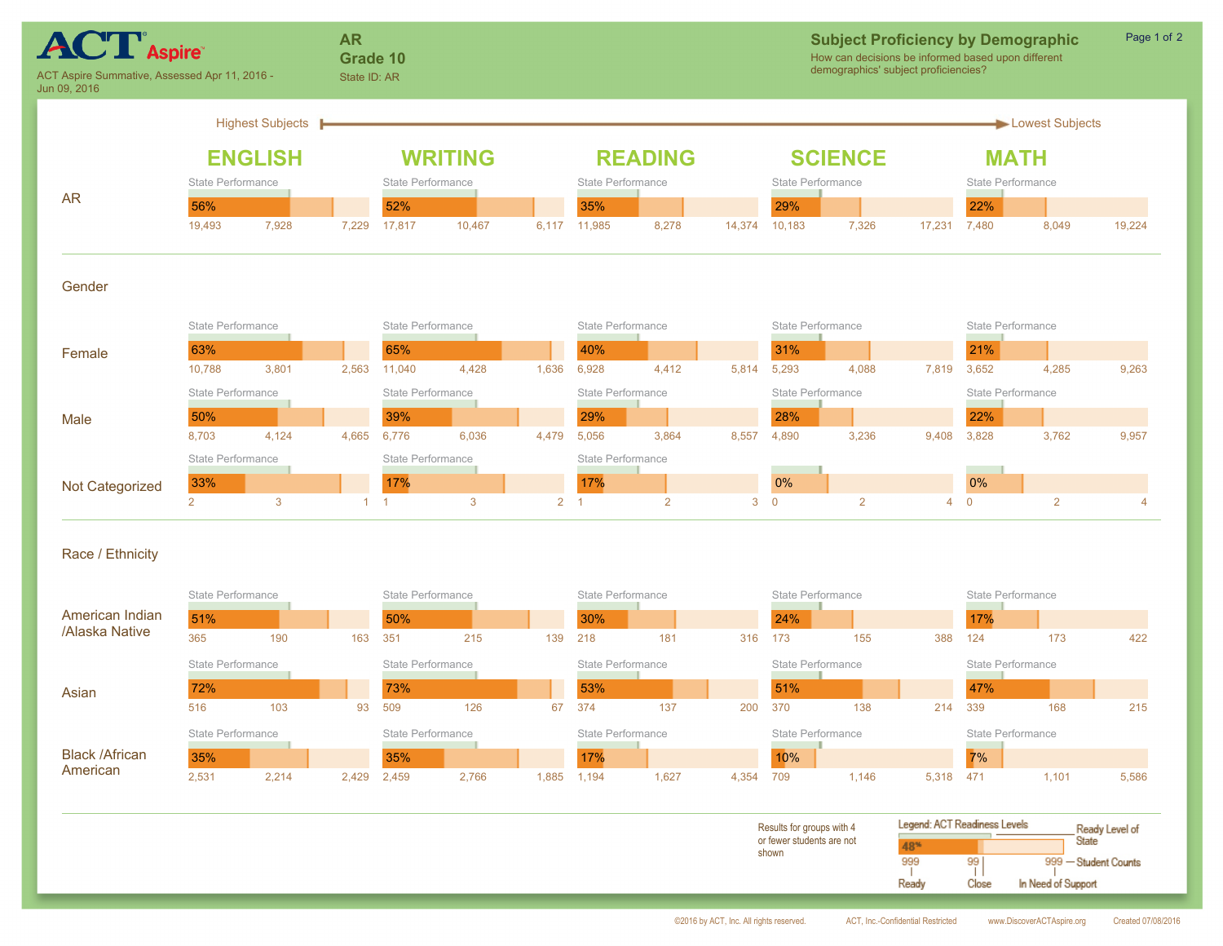